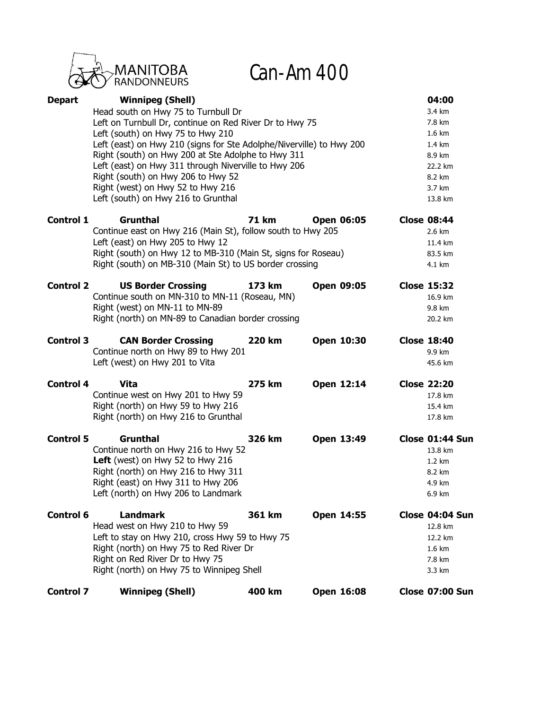

Can-Am 400

| <b>Depart</b>    | <b>Winnipeg (Shell)</b>                                              |               |                   | 04:00              |
|------------------|----------------------------------------------------------------------|---------------|-------------------|--------------------|
|                  | Head south on Hwy 75 to Turnbull Dr                                  |               |                   | 3.4 km             |
|                  | Left on Turnbull Dr, continue on Red River Dr to Hwy 75              |               |                   | 7.8 km             |
|                  | Left (south) on Hwy 75 to Hwy 210                                    |               |                   | 1.6 km             |
|                  | Left (east) on Hwy 210 (signs for Ste Adolphe/Niverville) to Hwy 200 |               |                   | 1.4 km             |
|                  | Right (south) on Hwy 200 at Ste Adolphe to Hwy 311                   |               |                   | 8.9 km             |
|                  | Left (east) on Hwy 311 through Niverville to Hwy 206                 |               |                   | 22.2 km            |
|                  | Right (south) on Hwy 206 to Hwy 52                                   |               |                   | 8.2 km             |
|                  | Right (west) on Hwy 52 to Hwy 216                                    |               |                   | 3.7 km             |
|                  | Left (south) on Hwy 216 to Grunthal                                  |               |                   | 13.8 km            |
| <b>Control 1</b> | <b>Grunthal</b>                                                      | <b>71 km</b>  | <b>Open 06:05</b> | <b>Close 08:44</b> |
|                  | Continue east on Hwy 216 (Main St), follow south to Hwy 205          |               |                   | 2.6 km             |
|                  | Left (east) on Hwy 205 to Hwy 12                                     |               |                   | 11.4 km            |
|                  | Right (south) on Hwy 12 to MB-310 (Main St, signs for Roseau)        |               |                   | 83.5 km            |
|                  | Right (south) on MB-310 (Main St) to US border crossing              |               |                   | 4.1 km             |
| <b>Control 2</b> | <b>US Border Crossing</b>                                            | 173 km        | <b>Open 09:05</b> | <b>Close 15:32</b> |
|                  | Continue south on MN-310 to MN-11 (Roseau, MN)                       |               |                   | 16.9 km            |
|                  | Right (west) on MN-11 to MN-89                                       |               |                   | 9.8 km             |
|                  | Right (north) on MN-89 to Canadian border crossing                   |               |                   | 20.2 km            |
| <b>Control 3</b> | <b>CAN Border Crossing</b>                                           | <b>220 km</b> | Open 10:30        | <b>Close 18:40</b> |
|                  | Continue north on Hwy 89 to Hwy 201                                  |               |                   | 9.9 km             |
|                  | Left (west) on Hwy 201 to Vita                                       |               |                   | 45.6 km            |
| <b>Control 4</b> | <b>Vita</b>                                                          | 275 km        | Open 12:14        | <b>Close 22:20</b> |
|                  | Continue west on Hwy 201 to Hwy 59                                   |               |                   | 17.8 km            |
|                  | Right (north) on Hwy 59 to Hwy 216                                   |               |                   | 15.4 km            |
|                  | Right (north) on Hwy 216 to Grunthal                                 |               |                   | 17.8 km            |
| <b>Control 5</b> | <b>Grunthal</b>                                                      | 326 km        | Open 13:49        | Close 01:44 Sun    |
|                  | Continue north on Hwy 216 to Hwy 52                                  |               |                   | 13.8 km            |
|                  | Left (west) on Hwy 52 to Hwy 216                                     |               |                   | 1.2 km             |
|                  | Right (north) on Hwy 216 to Hwy 311                                  |               |                   | 8.2 km             |
|                  | Right (east) on Hwy 311 to Hwy 206                                   |               |                   | 4.9 km             |
|                  | Left (north) on Hwy 206 to Landmark                                  |               |                   | 6.9 km             |
| <b>Control 6</b> | <b>Landmark</b>                                                      | 361 km        | Open 14:55        | Close 04:04 Sun    |
|                  | Head west on Hwy 210 to Hwy 59                                       |               |                   | 12.8 km            |
|                  | Left to stay on Hwy 210, cross Hwy 59 to Hwy 75                      |               |                   | 12.2 km            |
|                  | Right (north) on Hwy 75 to Red River Dr                              |               |                   | 1.6 km             |
|                  | Right on Red River Dr to Hwy 75                                      |               |                   | 7.8 km             |
|                  | Right (north) on Hwy 75 to Winnipeg Shell                            |               |                   | 3.3 km             |
| <b>Control 7</b> | <b>Winnipeg (Shell)</b>                                              | 400 km        | Open 16:08        | Close 07:00 Sun    |